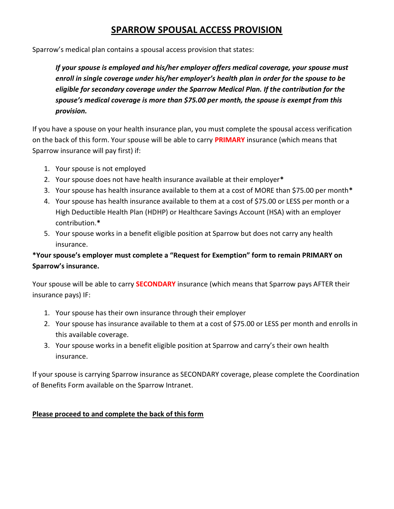### SPARROW SPOUSAL ACCESS PROVISION

Sparrow's medical plan contains a spousal access provision that states:

If your spouse is employed and his/her employer offers medical coverage, your spouse must enroll in single coverage under his/her employer's health plan in order for the spouse to be eligible for secondary coverage under the Sparrow Medical Plan. If the contribution for the spouse's medical coverage is more than \$75.00 per month, the spouse is exempt from this provision.

If you have a spouse on your health insurance plan, you must complete the spousal access verification on the back of this form. Your spouse will be able to carry **PRIMARY** insurance (which means that Sparrow insurance will pay first) if:

- 1. Your spouse is not employed
- 2. Your spouse does not have health insurance available at their employer\*
- 3. Your spouse has health insurance available to them at a cost of MORE than \$75.00 per month\*
- 4. Your spouse has health insurance available to them at a cost of \$75.00 or LESS per month or a High Deductible Health Plan (HDHP) or Healthcare Savings Account (HSA) with an employer contribution.\*
- 5. Your spouse works in a benefit eligible position at Sparrow but does not carry any health insurance.

### \*Your spouse's employer must complete a "Request for Exemption" form to remain PRIMARY on Sparrow's insurance.

Your spouse will be able to carry **SECONDARY** insurance (which means that Sparrow pays AFTER their insurance pays) IF:

- 1. Your spouse has their own insurance through their employer
- 2. Your spouse has insurance available to them at a cost of \$75.00 or LESS per month and enrolls in this available coverage.
- 3. Your spouse works in a benefit eligible position at Sparrow and carry's their own health insurance.

If your spouse is carrying Sparrow insurance as SECONDARY coverage, please complete the Coordination of Benefits Form available on the Sparrow Intranet.

#### Please proceed to and complete the back of this form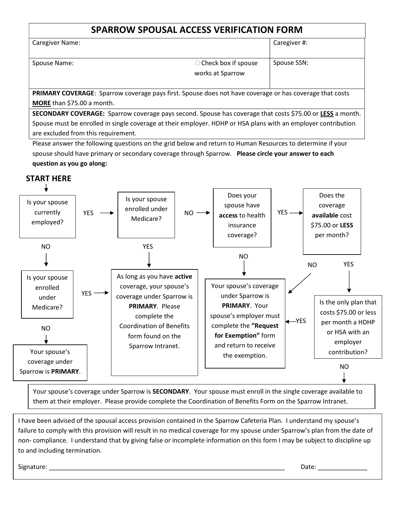## SPARROW SPOUSAL ACCESS VERIFICATION FORM

| <b>Caregiver Name:</b> |                                                | Caregiver #: |  |
|------------------------|------------------------------------------------|--------------|--|
| Spouse Name:           | $\Box$ Check box if spouse<br>works at Sparrow | Spouse SSN:  |  |

PRIMARY COVERAGE: Sparrow coverage pays first. Spouse does not have coverage or has coverage that costs MORE than \$75.00 a month.

SECONDARY COVERAGE: Sparrow coverage pays second. Spouse has coverage that costs \$75.00 or LESS a month. Spouse must be enrolled in single coverage at their employer. HDHP or HSA plans with an employer contribution are excluded from this requirement.

Please answer the following questions on the grid below and return to Human Resources to determine if your spouse should have primary or secondary coverage through Sparrow. Please circle your answer to each question as you go along:

### START HERE



Your spouse's coverage under Sparrow is SECONDARY. Your spouse must enroll in the single coverage available to them at their employer. Please provide complete the Coordination of Benefits Form on the Sparrow Intranet.

I have been advised of the spousal access provision contained in the Sparrow Cafeteria Plan. I understand my spouse's failure to comply with this provision will result in no medical coverage for my spouse under Sparrow's plan from the date of non- compliance. I understand that by giving false or incomplete information on this form I may be subject to discipline up to and including termination.

Signature: \_\_\_\_\_\_\_\_\_\_\_\_\_\_\_\_\_\_\_\_\_\_\_\_\_\_\_\_\_\_\_\_\_\_\_\_\_\_\_\_\_\_\_\_\_\_\_\_\_\_\_\_\_\_\_\_\_\_\_\_\_\_\_\_\_\_\_ Date: \_\_\_\_\_\_\_\_\_\_\_\_\_\_